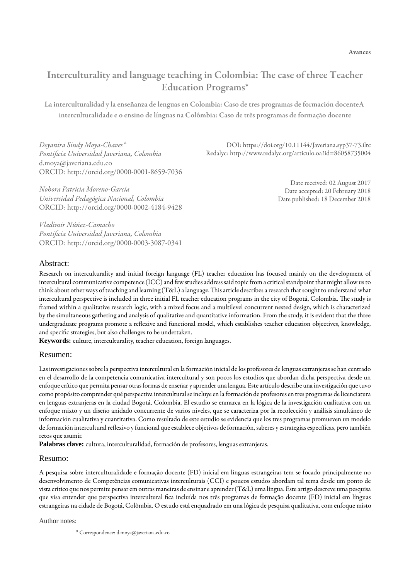# Interculturality and language teaching in Colombia: The case of three Teacher Education Program[s\\*](#page-16-0)

La interculturalidad y la enseñanza de lenguas en Colombia: Caso de tres programas de formación docente A interculturalidade e o ensino de línguas na Colômbia: Caso de três programas de formação docente

*Deyanira Sindy Moya-Chaves* [a](#page-0-0) *Pontificia [Universidad Javeriana, Colombia](http://orcid.org/0000-0001-8659-7036)* d.moya@javeriana.edu.co ORCID: http://orcid.org/0000-0001-8659-7036

*Nohora P[atricia Moreno-García](http://orcid.org/0000-0002-4184-9428) Universidad Pedagógica Nacional, Colombia* ORCID: http://orcid.org/0000-0002-4184-9428

*Vladimir [Núñez-Camacho](http://orcid.org/0000-0003-3087-0341) Pontificia Universidad Javeriana, Colombia* ORCID: http://orcid.org/0000-0003-3087-0341

DOI: https://doi.org/10.11144/Javeriana.syp37-73.iltc Redalyc: <http://www.redalyc.org/articulo.oa?id=86058735004>

> Date received: 02 August 2017 Date accepted: 20 February 2018 Date published: 18 December 2018

### Abstract:

Research on interculturality and initial foreign language (FL) teacher education has focused mainly on the development of intercultural communicative competence (ICC) and few studies address said topic from a critical standpoint that might allow us to think about other ways of teaching and learning  $(T&L)$  a language. This article describes a research that sought to understand what intercultural perspective is included in three initial FL teacher education programs in the city of Bogotá, Colombia. The study is framed within a qualitative research logic, with a mixed focus and a multilevel concurrent nested design, which is characterized by the simultaneous gathering and analysis of qualitative and quantitative information. From the study, it is evident that the three undergraduate programs promote a reflexive and functional model, which establishes teacher education objectives, knowledge, and specific strategies, but also challenges to be undertaken.

**Keywords:** culture, interculturality, teacher education, foreign languages.

#### Resumen:

Las investigaciones sobre la perspectiva intercultural en la formación inicial de los profesores de lenguas extranjeras se han centrado en el desarrollo de la competencia comunicativa intercultural y son pocos los estudios que abordan dicha perspectiva desde un enfoque crítico que permita pensar otras formas de enseñar y aprender una lengua. Este artículo describe una investigación que tuvo como propósito comprender qué perspectiva intercultural se incluye en la formación de profesores en tres programas de licenciatura en lenguas extranjeras en la ciudad Bogotá, Colombia. El estudio se enmarca en la lógica de la investigación cualitativa con un enfoque mixto y un diseño anidado concurrente de varios niveles, que se caracteriza por la recolección y análisis simultáneo de información cualitativa y cuantitativa. Como resultado de este estudio se evidencia que los tres programas promueven un modelo de formación intercultural reflexivo y funcional que establece objetivos de formación, saberes y estrategias específicas, pero también retos que asumir.

**Palabras clave:** cultura, interculturalidad, formación de profesores, lenguas extranjeras.

#### Resumo:

A pesquisa sobre interculturalidade e formação docente (FD) inicial em línguas estrangeiras tem se focado principalmente no desenvolvimento de Competências comunicativas interculturais (CCI) e poucos estudos abordam tal tema desde um ponto de vista crítico que nos permite pensar em outras maneiras de ensinar e aprender (T&L) uma língua. Este artigo descreve uma pesquisa que visa entender que perspectiva intercultural fica incluída nos três programas de formação docente (FD) inicial em línguas estrangeiras na cidade de Bogotá, Colômbia. O estudo está enquadrado em una lógica de pesquisa qualitativa, com enfoque misto

<span id="page-0-0"></span>Author notes:

a Correspondence: d.moya@javeriana.edu.co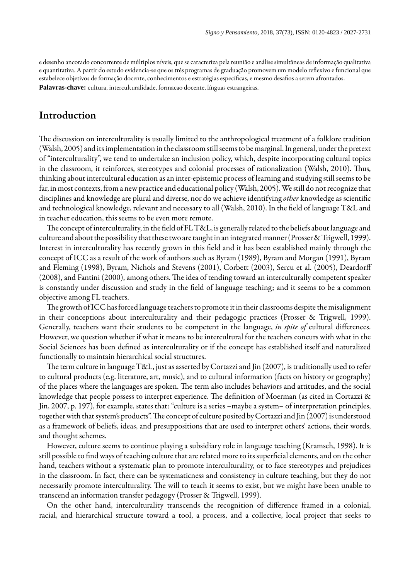e desenho ancorado concorrente de múltiplos níveis, que se caracteriza pela reunião e análise simultâneas de informação qualitativa e quantitativa. A partir do estudo evidencia-se que os três programas de graduação promovem um modelo reflexivo e funcional que estabelece objetivos de formação docente, conhecimentos e estratégias específicas, e mesmo desafios a serem afrontados. **Palavras-chave:** cultura, interculturalidade, formacao docente, línguas estrangeiras.

# Introduction

The discussion on interculturality is usually limited to the anthropological treatment of a folklore tradition ([Walsh, 2005](#page-16-1)) and its implementation in the classroom still seems to be marginal. In general, under the pretext of "interculturality", we tend to undertake an inclusion policy, which, despite incorporating cultural topics in the classroom, it reinforces, stereotypes and colonial processes of rationalization [\(Walsh, 2010\)](#page-16-2). Thus, thinking about intercultural education as an inter-epistemic process of learning and studying still seems to be far, in most contexts, from a new practice and educational policy [\(Walsh, 2005\)](#page-16-1). We still do not recognize that disciplines and knowledge are plural and diverse, nor do we achieve identifying *other* knowledge as scientic and technological knowledge, relevant and necessary to all [\(Walsh, 2010](#page-16-2)). In the field of language T&L and in teacher education, this seems to be even more remote.

The concept of interculturality, in the field of FL T&L, is generally related to the beliefs about language and culture and about the possibility that these two are taught in an integrated manner [\(Prosser & Trigwell, 1999](#page-16-3)). Interest in interculturality has recently grown in this field and it has been established mainly through the concept of ICC as a result of the work of authors such as Byram ([1989\)](#page-15-0), Byram and Morgan ([1991\)](#page-15-1), Byram and Fleming ([1998\)](#page-15-2), Byram, Nichols and Stevens [\(2001](#page-15-3)), Corbett ([2003\)](#page-15-4), Sercu et al. [\(2005\)](#page-16-4), Deardorff ([2008](#page-15-5)), and Fantini ([2000\)](#page-16-5), among others. The idea of tending toward an interculturally competent speaker is constantly under discussion and study in the field of language teaching; and it seems to be a common objective among FL teachers.

The growth of ICC has forced language teachers to promote it in their classrooms despite the misalignment in their conceptions about interculturality and their pedagogic practices ([Prosser & Trigwell, 1999](#page-16-3)). Generally, teachers want their students to be competent in the language, *in spite of* cultural differences. However, we question whether if what it means to be intercultural for the teachers concurs with what in the Social Sciences has been defined as interculturality or if the concept has established itself and naturalized functionally to maintain hierarchical social structures.

The term culture in language T&L, just as asserted by Cortazzi and Jin [\(2007](#page-15-6)), is traditionally used to refer to cultural products (e.g. literature, art, music), and to cultural information (facts on history or geography) of the places where the languages are spoken. The term also includes behaviors and attitudes, and the social knowledge that people possess to interpret experience. The definition of Moerman (as cited in [Cortazzi &](#page-15-6) [Jin, 2007,](#page-15-6) p. 197), for example, states that: "culture is a series –maybe a system– of interpretation principles, together with that system's products". The concept of culture posited by Cortazzi and Jin ([2007](#page-15-6)) is understood as a framework of beliefs, ideas, and presuppositions that are used to interpret others' actions, their words, and thought schemes.

However, culture seems to continue playing a subsidiary role in language teaching [\(Kramsch, 1998](#page-16-6)). It is still possible to find ways of teaching culture that are related more to its superficial elements, and on the other hand, teachers without a systematic plan to promote interculturality, or to face stereotypes and prejudices in the classroom. In fact, there can be systematicness and consistency in culture teaching, but they do not necessarily promote interculturality. The will to teach it seems to exist, but we might have been unable to transcend an information transfer pedagogy ([Prosser & Trigwell, 1999\)](#page-16-3).

On the other hand, interculturality transcends the recognition of difference framed in a colonial, racial, and hierarchical structure toward a tool, a process, and a collective, local project that seeks to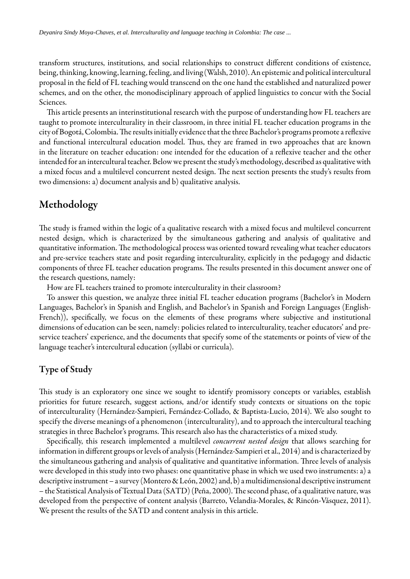transform structures, institutions, and social relationships to construct different conditions of existence, being, thinking, knowing, learning, feeling, and living ([Walsh, 2010](#page-16-2)). An epistemic and political intercultural proposal in the field of FL teaching would transcend on the one hand the established and naturalized power schemes, and on the other, the monodisciplinary approach of applied linguistics to concur with the Social Sciences.

This article presents an interinstitutional research with the purpose of understanding how FL teachers are taught to promote interculturality in their classroom, in three initial FL teacher education programs in the city of Bogotá, Colombia. The results initially evidence that the three Bachelor's programs promote a reflexive and functional intercultural education model. Thus, they are framed in two approaches that are known in the literature on teacher education: one intended for the education of a reflexive teacher and the other intended for an intercultural teacher. Below we present the study's methodology, described as qualitative with a mixed focus and a multilevel concurrent nested design. The next section presents the study's results from two dimensions: a) document analysis and b) qualitative analysis.

# Methodology

The study is framed within the logic of a qualitative research with a mixed focus and multilevel concurrent nested design, which is characterized by the simultaneous gathering and analysis of qualitative and quantitative information. The methodological process was oriented toward revealing what teacher educators and pre-service teachers state and posit regarding interculturality, explicitly in the pedagogy and didactic components of three FL teacher education programs. The results presented in this document answer one of the research questions, namely:

How are FL teachers trained to promote interculturality in their classroom?

To answer this question, we analyze three initial FL teacher education programs (Bachelor's in Modern Languages, Bachelor's in Spanish and English, and Bachelor's in Spanish and Foreign Languages (English-French)), specifically, we focus on the elements of these programs where subjective and institutional dimensions of education can be seen, namely: policies related to interculturality, teacher educators' and preservice teachers' experience, and the documents that specify some of the statements or points of view of the language teacher's intercultural education (syllabi or curricula).

# Type of Study

This study is an exploratory one since we sought to identify promissory concepts or variables, establish priorities for future research, suggest actions, and/or identify study contexts or situations on the topic of interculturality [\(Hernández-Sampieri, Fernández-Collado, & Baptista-Lucio, 2014](#page-16-7)). We also sought to specify the diverse meanings of a phenomenon (interculturality), and to approach the intercultural teaching strategies in three Bachelor's programs. This research also has the characteristics of a mixed study.

Specifically, this research implemented a multilevel *concurrent nested design* that allows searching for information in different groups or levels of analysis ([Hernández-Sampieri et al., 2014](#page-16-7)) and is characterized by the simultaneous gathering and analysis of qualitative and quantitative information. Three levels of analysis were developed in this study into two phases: one quantitative phase in which we used two instruments: a) a descriptive instrument – a survey ([Montero & León, 2002\)](#page-16-8) and, b) a multidimensional descriptive instrument – the Statistical Analysis of Textual Data (SATD) [\(Peña, 2000\)](#page-16-9). The second phase, of a qualitative nature, was developed from the perspective of content analysis [\(Barreto, Velandia-Morales, & Rincón-Vásquez, 2011](#page-15-7)). We present the results of the SATD and content analysis in this article.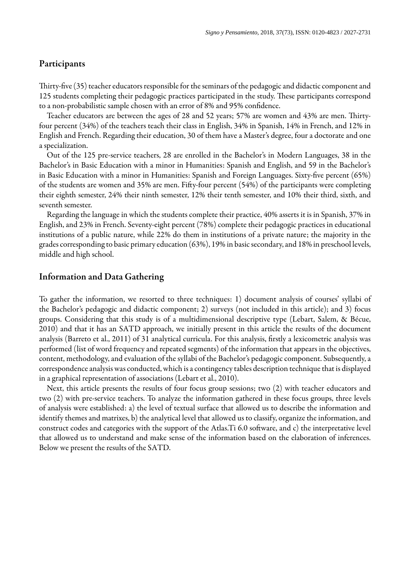### Participants

Thirty-five (35) teacher educators responsible for the seminars of the pedagogic and didactic component and 125 students completing their pedagogic practices participated in the study. These participants correspond to a non-probabilistic sample chosen with an error of 8% and 95% confidence.

Teacher educators are between the ages of 28 and 52 years; 57% are women and 43% are men. Thirtyfour percent (34%) of the teachers teach their class in English, 34% in Spanish, 14% in French, and 12% in English and French. Regarding their education, 30 of them have a Master's degree, four a doctorate and one a specialization.

Out of the 125 pre-service teachers, 28 are enrolled in the Bachelor's in Modern Languages, 38 in the Bachelor's in Basic Education with a minor in Humanities: Spanish and English, and 59 in the Bachelor's in Basic Education with a minor in Humanities: Spanish and Foreign Languages. Sixty-five percent (65%) of the students are women and 35% are men. Fifty-four percent (54%) of the participants were completing their eighth semester, 24% their ninth semester, 12% their tenth semester, and 10% their third, sixth, and seventh semester.

Regarding the language in which the students complete their practice, 40% asserts it is in Spanish, 37% in English, and 23% in French. Seventy-eight percent (78%) complete their pedagogic practices in educational institutions of a public nature, while 22% do them in institutions of a private nature; the majority in the grades corresponding to basic primary education (63%), 19% in basic secondary, and 18% in preschool levels, middle and high school.

## Information and Data Gathering

To gather the information, we resorted to three techniques: 1) document analysis of courses' syllabi of the Bachelor's pedagogic and didactic component; 2) surveys (not included in this article); and 3) focus groups. Considering that this study is of a multidimensional descriptive type ([Lebart,](#page-16-10) Salem, & Bécue, [2010](#page-16-10)) and that it has an SATD approach, we initially present in this article the results of the document analysis [\(Barreto](#page-15-7) et al., 2011) of 31 analytical curricula. For this analysis, firstly a lexicometric analysis was performed (list of word frequency and repeated segments) of the information that appears in the objectives, content, methodology, and evaluation of the syllabi of the Bachelor's pedagogic component. Subsequently, a correspondence analysis was conducted, which is a contingency tables description technique that is displayed in a graphical representation of associations [\(Lebart](#page-16-10) et al., 2010).

Next, this article presents the results of four focus group sessions; two (2) with teacher educators and two (2) with pre-service teachers. To analyze the information gathered in these focus groups, three levels of analysis were established: a) the level of textual surface that allowed us to describe the information and identify themes and matrixes, b) the analytical level that allowed us to classify, organize the information, and construct codes and categories with the support of the Atlas. Ti 6.0 software, and c) the interpretative level that allowed us to understand and make sense of the information based on the elaboration of inferences. Below we present the results of the SATD.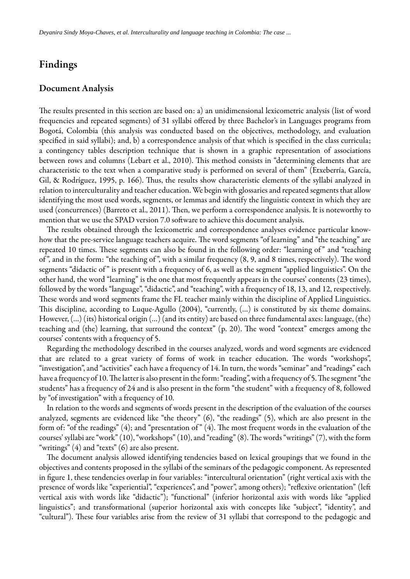# Findings

### Document Analysis

The results presented in this section are based on: a) an unidimensional lexicometric analysis (list of word frequencies and repeated segments) of 31 syllabi offered by three Bachelor's in Languages programs from Bogotá, Colombia (this analysis was conducted based on the objectives, methodology, and evaluation specified in said syllabi); and, b) a correspondence analysis of that which is specified in the class curricula; a contingency tables description technique that is shown in a graphic representation of associations between rows and columns [\(Lebart et al., 2010](#page-16-10)). This method consists in "determining elements that are characteristic to the text when a comparative study is performed on several of them" ([Etxeberría, García,](#page-15-8) [Gil, & Rodríguez, 1995,](#page-15-8) p. 166). Thus, the results show characteristic elements of the syllabi analyzed in relation to interculturality and teacher education. We begin with glossaries and repeated segments that allow identifying the most used words, segments, or lemmas and identify the linguistic context in which they are used (concurrences) ([Barreto et al., 2011\)](#page-15-7). Then, we perform a correspondence analysis. It is noteworthy to mention that we use the SPAD version 7.0 software to achieve this document analysis.

The results obtained through the lexicometric and correspondence analyses evidence particular knowhow that the pre-service language teachers acquire. The word segments "of learning" and "the teaching" are repeated 10 times. These segments can also be found in the following order: "learning of" and "teaching of", and in the form: "the teaching of", with a similar frequency  $(8, 9, 4)$  and  $(8, 9)$  and  $(8, 9)$  and  $(8, 9)$ . The word segments "didactic of" is present with a frequency of 6, as well as the segment "applied linguistics". On the other hand, the word "learning" is the one that most frequently appears in the courses' contents (23 times), followed by the words "language", "didactic", and "teaching", with a frequency of 18, 13, and 12, respectively. These words and word segments frame the FL teacher mainly within the discipline of Applied Linguistics. This discipline, according to Luque-Agullo ([2004](#page-16-11)), "currently, (...) is constituted by six theme domains. However, (…) (its) historical origin (…) (and its entity) are based on three fundamental axes: language, (the) teaching and (the) learning, that surround the context" (p. 20). The word "context" emerges among the courses' contents with a frequency of 5.

Regarding the methodology described in the courses analyzed, words and word segments are evidenced that are related to a great variety of forms of work in teacher education. The words "workshops", "investigation", and "activities" each have a frequency of 14. In turn, the words "seminar" and "readings" each have a frequency of 10. The latter is also present in the form: "reading", with a frequency of 5. The segment "the students" has a frequency of 24 and is also present in the form "the student" with a frequency of 8, followed by "of investigation" with a frequency of 10.

In relation to the words and segments of words present in the description of the evaluation of the courses analyzed, segments are evidenced like "the theory" (6), "the readings" (5), which are also present in the form of: "of the readings"  $(4)$ ; and "presentation of"  $(4)$ . The most frequent words in the evaluation of the courses' syllabi are "work"  $(10)$ , "workshops"  $(10)$ , and "reading"  $(8)$ . The words "writings"  $(7)$ , with the form "writings" (4) and "texts" (6) are also present.

The document analysis allowed identifying tendencies based on lexical groupings that we found in the objectives and contents proposed in the syllabi of the seminars of the pedagogic component. As represented in figure 1, these tendencies overlap in four variables: "intercultural orientation" (right vertical axis with the presence of words like "experiential", "experiences", and "power", among others); "reflexive orientation" (left vertical axis with words like "didactic"); "functional" (inferior horizontal axis with words like "applied linguistics"; and transformational (superior horizontal axis with concepts like "subject", "identity", and "cultural"). These four variables arise from the review of 31 syllabi that correspond to the pedagogic and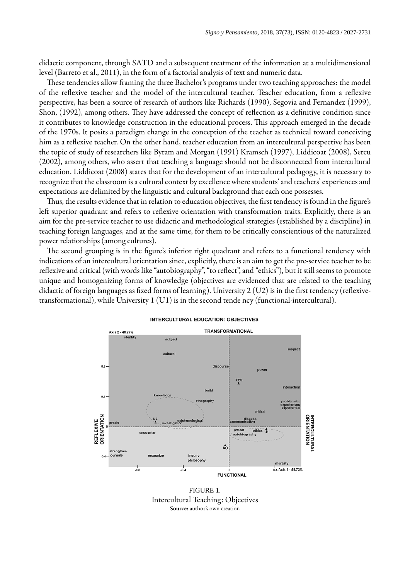didactic component, through SATD and a subsequent treatment of the information at a multidimensional level ([Barreto](#page-15-7) et al., 2011), in the form of a factorial analysis of text and numeric data.

These tendencies allow framing the three Bachelor's programs under two teaching approaches: the model of the reflexive teacher and the model of the intercultural teacher. Teacher education, from a reflexive perspective, has been a source of research of authors like Richards ([1990](#page-16-12)), Segovia and Fernandez ([1999](#page-16-13)), Shon, [\(1992\)](#page-16-14), among others. They have addressed the concept of reflection as a definitive condition since it contributes to knowledge construction in the educational process. This approach emerged in the decade of the 1970s. It posits a paradigm change in the conception of the teacher as technical toward conceiving him as a reflexive teacher. On the other hand, teacher education from an intercultural perspective has been the topic of study of researchers like Byram and Morgan [\(1991](#page-15-1)) Kramsch ([1997](#page-16-15)), Liddicoat ([2008](#page-16-16)), Sercu ([2002](#page-16-17)), among others, who assert that teaching a language should not be disconnected from intercultural education. Liddicoat ([2008](#page-16-16)) states that for the development of an intercultural pedagogy, it is necessary to recognize that the classroom is a cultural context by excellence where students' and teachers' experiences and expectations are delimited by the linguistic and cultural background that each one possesses.

Thus, the results evidence that in relation to education objectives, the first tendency is found in the figure's left superior quadrant and refers to reflexive orientation with transformation traits. Explicitly, there is an aim for the pre-service teacher to use didactic and methodological strategies (established by a discipline) in teaching foreign languages, and at the same time, for them to be critically conscientious of the naturalized power relationships (among cultures).

The second grouping is in the figure's inferior right quadrant and refers to a functional tendency with indications of an intercultural orientation since, explicitly, there is an aim to get the pre-service teacher to be reflexive and critical (with words like "autobiography", "to reflect", and "ethics"), but it still seems to promote unique and homogenizing forms of knowledge (objectives are evidenced that are related to the teaching didactic of foreign languages as fixed forms of learning). University  $2 (U2)$  is in the first tendency (reflexivetransformational), while University 1 (U1) is in the second tende ncy (functional-intercultural).

<span id="page-5-0"></span>

#### **INTERCULTURAL EDUCATION: OBJECTIVES**

FIGURE 1. Intercultural Teaching: Objectives Source: author's own creation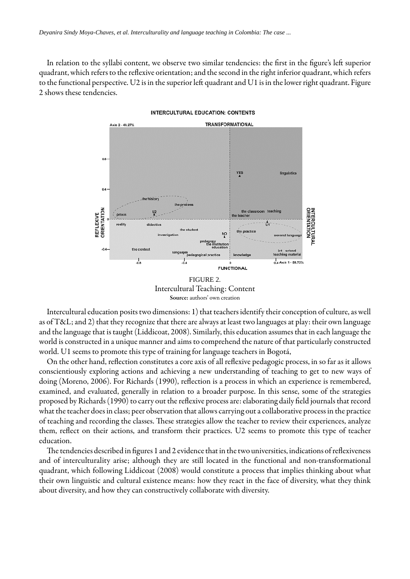<span id="page-6-0"></span>In relation to the syllabi content, we observe two similar tendencies: the first in the fi[gure's](#page-5-0) left superior quadrant, which refers to the reflexive orientation; and the second in the right inferior quadrant, which refers to the functional perspective. U2 is in the superior left quadrant and U1 is in the lower right quadrant. [Figure](#page-6-0) [2](#page-6-0) shows these tendencies.



**INTERCULTURAL EDUCATION: CONTENTS** 

FIGURE 2. Intercultural Teaching: Content Source: authors' own creation

Intercultural education posits two dimensions: 1) that teachers identify their conception of culture, as well as of T&L; and 2) that they recognize that there are always at least two languages at play: their own language and the language that is taught [\(Liddicoat, 2008](#page-16-16)). Similarly, this education assumes that in each language the world is constructed in a unique manner and aims to comprehend the nature of that particularly constructed world. U1 seems to promote this type of training for language teachers in Bogotá,

On the other hand, reflection constitutes a core axis of all reflexive pedagogic process, in so far as it allows conscientiously exploring actions and achieving a new understanding of teaching to get to new ways of doing ([Moreno, 2006](#page-16-18)). For Richards [\(1990](#page-16-12)), reflection is a process in which an experience is remembered, examined, and evaluated, generally in relation to a broader purpose. In this sense, some of the strategies proposed by Richards ([1990\)](#page-16-12) to carry out the reflexive process are: elaborating daily field journals that record what the teacher does in class; peer observation that allows carrying out a collaborative process in the practice of teaching and recording the classes. These strategies allow the teacher to review their experiences, analyze them, reflect on their actions, and transform their practices. U2 seems to promote this type of teacher education.

The tendencies described in figures 1 and [2](#page-6-0) evidence that in the two universities, indications of reflexiveness and of interculturality arise; although they are still located in the functional and non-transformational quadrant, which following Liddicoat [\(2008\)](#page-16-16) would constitute a process that implies thinking about what their own linguistic and cultural existence means: how they react in the face of diversity, what they think about diversity, and how they can constructively collaborate with diversity.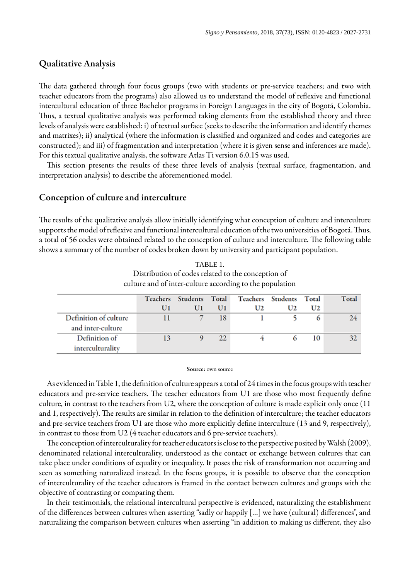## Qualitative Analysis

The data gathered through four focus groups (two with students or pre-service teachers; and two with teacher educators from the programs) also allowed us to understand the model of reflexive and functional intercultural education of three Bachelor programs in Foreign Languages in the city of Bogotá, Colombia. Thus, a textual qualitative analysis was performed taking elements from the established theory and three levels of analysis were established: i) of textual surface (seeks to describe the information and identify themes and matrixes); ii) analytical (where the information is classified and organized and codes and categories are constructed); and iii) of fragmentation and interpretation (where it is given sense and inferences are made). For this textual qualitative analysis, the software Atlas Ti version 6.0.15 was used.

This section presents the results of these three levels of analysis (textual surface, fragmentation, and interpretation analysis) to describe the aforementioned model.

## Conception of culture and interculture

The results of the qualitative analysis allow initially identifying what conception of culture and interculture supports the model of reflexive and functional intercultural education of the two universities of Bogotá. Thus, a total of 56 codes were obtained related to the conception of culture and interculture. The following table shows a summary of the number of codes broken down by university and participant population.

<span id="page-7-0"></span>

| culture and of inter-culture according to the population |                 |                |    |    |                          |         |              |  |  |  |
|----------------------------------------------------------|-----------------|----------------|----|----|--------------------------|---------|--------------|--|--|--|
|                                                          | <b>Teachers</b> | Students Total |    |    | <b>Teachers</b> Students | Total   | <b>Total</b> |  |  |  |
|                                                          | Ul              | Ul             | Ul | U2 | U2                       | U2      |              |  |  |  |
| Definition of culture                                    |                 |                | 18 |    |                          | $\circ$ | 24           |  |  |  |
| and inter-culture                                        |                 |                |    |    |                          |         |              |  |  |  |
| Definition of                                            | 13              |                | 22 |    | 6                        | 10      | 32           |  |  |  |
| interculturality                                         |                 |                |    |    |                          |         |              |  |  |  |

TABLE 1. Distribution of codes related to the conception of culture and of inter-culture according to the population

#### Source: own source

As evidenced in [Table](#page-7-0) 1, the definition of culture appears a total of 24 times in the focus groups with teacher educators and pre-service teachers. The teacher educators from U1 are those who most frequently define culture, in contrast to the teachers from U2, where the conception of culture is made explicit only once (11 and 1, respectively). The results are similar in relation to the definition of interculture; the teacher educators and pre-service teachers from U1 are those who more explicitly define interculture (13 and 9, respectively), in contrast to those from U2 (4 teacher educators and 6 pre-service teachers).

The conception of interculturality for teacher educators is close to the perspective posited by Walsh ([2009](#page-16-19)), denominated relational interculturality, understood as the contact or exchange between cultures that can take place under conditions of equality or inequality. It poses the risk of transformation not occurring and seen as something naturalized instead. In the focus groups, it is possible to observe that the conception of interculturality of the teacher educators is framed in the contact between cultures and groups with the objective of contrasting or comparing them.

In their testimonials, the relational intercultural perspective is evidenced, naturalizing the establishment of the differences between cultures when asserting "sadly or happily […] we have (cultural) differences", and naturalizing the comparison between cultures when asserting "in addition to making us different, they also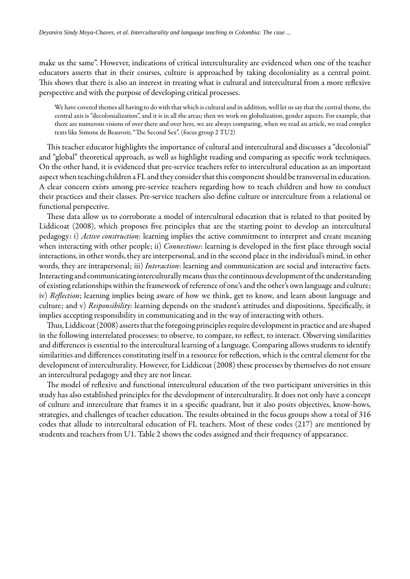make us the same". However, indications of critical interculturality are evidenced when one of the teacher educators asserts that in their courses, culture is approached by taking decoloniality as a central point. This shows that there is also an interest in treating what is cultural and intercultural from a more reflexive perspective and with the purpose of developing critical processes.

We have covered themes all having to do with that which is cultural and in addition, well let us say that the central theme, the central axis is "decolonialization", and it is in all the areas; then we work on globalization, gender aspects. For example, that there are numerous visions of over there and over here, we are always comparing, when we read an article, we read complex texts like Simone de Beauvoir, "The Second Sex". (focus group 2 TU2)

This teacher educator highlights the importance of cultural and intercultural and discusses a "decolonial" and "global" theoretical approach, as well as highlight reading and comparing as specific work techniques. On the other hand, it is evidenced that pre-service teachers refer to intercultural education as an important aspect when teaching children a FL and they consider that this component should be transversal in education. A clear concern exists among pre-service teachers regarding how to teach children and how to conduct their practices and their classes. Pre-service teachers also define culture or interculture from a relational or functional perspective.

These data allow us to corroborate a model of intercultural education that is related to that posited by Liddicoat (2008), which proposes five principles that are the starting point to develop an intercultural pedagogy: i) *Active construction*: learning implies the active commitment to interpret and create meaning when interacting with other people; ii) *Connections*: learning is developed in the first place through social interactions, in other words, they are interpersonal, and in the second place in the individual's mind, in other words, they are intrapersonal; iii) *Interaction*: learning and communication are social and interactive facts. Interacting and communicating interculturally means thus the continuous development of the understanding of existing relationships within the framework of reference of one's and the other's own language and culture; iv) *Reflection*; learning implies being aware of how we think, get to know, and learn about language and culture; and v) *Responsibility*: learning depends on the student's attitudes and dispositions. Specifically, it implies accepting responsibility in communicating and in the way of interacting with others.

Thus, Liddicoat [\(2008\)](#page-16-16) asserts that the foregoing principles require development in practice and are shaped in the following interrelated processes: to observe, to compare, to reflect, to interact. Observing similarities and differences is essential to the intercultural learning of a language. Comparing allows students to identify similarities and differences constituting itself in a resource for reflection, which is the central element for the development of interculturality. However, for Liddicoat [\(2008\)](#page-16-16) these processes by themselves do not ensure an intercultural pedagogy and they are not linear.

The model of reflexive and functional intercultural education of the two participant universities in this study has also established principles for the development of interculturality. It does not only have a concept of culture and interculture that frames it in a specific quadrant, but it also posits objectives, know-hows, strategies, and challenges of teacher education. The results obtained in the focus groups show a total of 316 codes that allude to intercultural education of FL teachers. Most of these codes (217) are mentioned by students and teachers from U1. [Table 2](#page-9-0) shows the codes assigned and their frequency of appearance.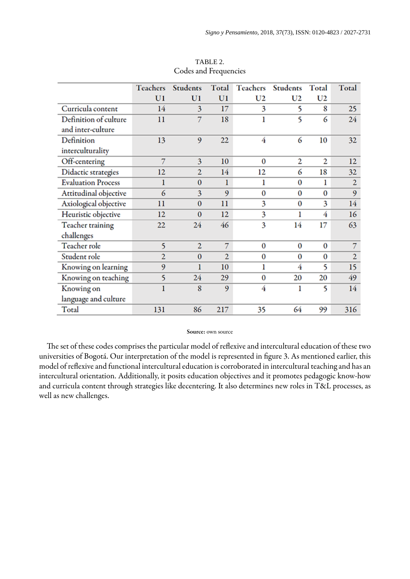<span id="page-9-0"></span>

|                           | <b>Teachers</b> | <b>Students</b> | Total          | <b>Teachers</b> | Students | Total          | Total          |
|---------------------------|-----------------|-----------------|----------------|-----------------|----------|----------------|----------------|
|                           | U <sub>1</sub>  | U <sub>1</sub>  | U1             | U <sub>2</sub>  | U2       | U <sub>2</sub> |                |
| Curricula content         | 14              | 3               | 17             | 3               | 5        | 8              | 25             |
| Definition of culture     | 11              | 7               | 18             | ı               | 5        | 6              | 24             |
| and inter-culture         |                 |                 |                |                 |          |                |                |
| Definition                | 13              | 9               | 22             | 4               | 6        | 10             | 32             |
| interculturality          |                 |                 |                |                 |          |                |                |
| Off-centering             | 7               | 3               | 10             | $\bf{0}$        | 2        | 2              | 12             |
| Didactic strategies       | 12              | $\overline{2}$  | 14             | 12              | 6        | 18             | 32             |
| <b>Evaluation Process</b> | 1               | $\mathbf{0}$    | 1              | ı               | 0        | ı              | $\overline{2}$ |
| Attitudinal objective     | 6               | 3               | 9              | $\bf{0}$        | 0        | $\bf{0}$       | 9              |
| Axiological objective     | 11              | $\mathbf{0}$    | 11             | 3               | 0        | 3              | 14             |
| Heuristic objective       | 12              | $\bf{0}$        | 12             | 3               | 1        | 4              | 16             |
| <b>Teacher training</b>   | 22              | 24              | 46             | 3               | 14       | 17             | 63             |
| challenges                |                 |                 |                |                 |          |                |                |
| Teacher role              | 5               | $\overline{2}$  | 7              | $\bf{0}$        | 0        | $\bf{0}$       | 7              |
| Student role              | $\overline{2}$  | $\mathbf{0}$    | $\overline{2}$ | $\bf{0}$        | $\bf{0}$ | $\bf{0}$       | $\overline{2}$ |
| Knowing on learning       | 9               |                 | 10             | ı               | 4        | 5              | 15             |
| Knowing on teaching       | 5               | 24              | 29             | $\bf{0}$        | 20       | 20             | 49             |
| Knowing on                | 1               | 8               | 9              | 4               | ı        | 5              | 14             |
| language and culture      |                 |                 |                |                 |          |                |                |
| Total                     | 131             | 86              | 217            | 35              | 64       | 99             | 316            |

TABLE 2. Codes and Frequencies

#### Source: own source

The set of these codes comprises the particular model of reflexive and intercultural education of these two universities of Bogotá. Our interpretation of the model is represented in fi[gure](#page-10-0) 3. As mentioned earlier, this model of reflexive and functional intercultural education is corroborated in intercultural teaching and has an intercultural orientation. Additionally, it posits education objectives and it promotes pedagogic know-how and curricula content through strategies like decentering. It also determines new roles in T&L processes, as well as new challenges.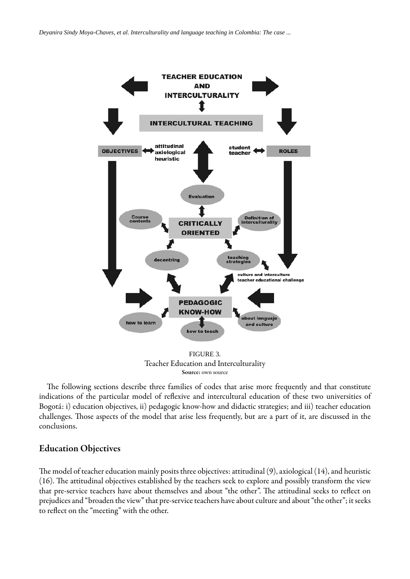<span id="page-10-0"></span>

Teacher Education and Interculturality Source: own source

The following sections describe three families of codes that arise more frequently and that constitute indications of the particular model of reflexive and intercultural education of these two universities of Bogotá: i) education objectives, ii) pedagogic know-how and didactic strategies; and iii) teacher education challenges. Those aspects of the model that arise less frequently, but are a part of it, are discussed in the conclusions.

## Education Objectives

The model of teacher education mainly posits three objectives: attitudinal  $(9)$ , axiological  $(14)$ , and heuristic  $(16)$ . The attitudinal objectives established by the teachers seek to explore and possibly transform the view that pre-service teachers have about themselves and about "the other". The attitudinal seeks to reflect on prejudices and "broaden the view" that pre-service teachers have about culture and about "the other"; it seeks to reflect on the "meeting" with the other.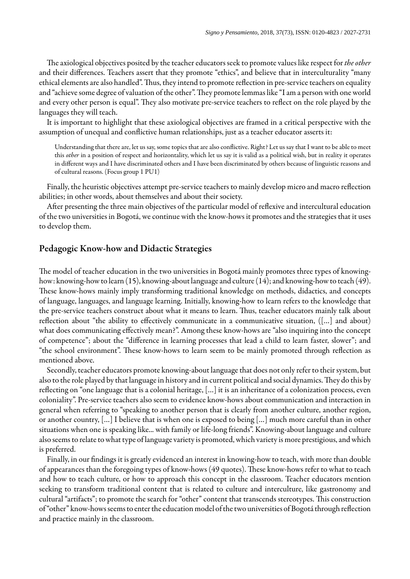The axiological objectives posited by the teacher educators seek to promote values like respect for the other and their differences. Teachers assert that they promote "ethics", and believe that in interculturality "many ethical elements are also handled". Thus, they intend to promote reflection in pre-service teachers on equality and "achieve some degree of valuation of the other". They promote lemmas like "I am a person with one world and every other person is equal". They also motivate pre-service teachers to reflect on the role played by the languages they will teach.

It is important to highlight that these axiological objectives are framed in a critical perspective with the assumption of unequal and conflictive human relationships, just as a teacher educator asserts it:

Understanding that there are, let us say, some topics that are also conflictive. Right? Let us say that I want to be able to meet this *other* in a position of respect and horizontality, which let us say it is valid as a political wish, but in reality it operates in different ways and I have discriminated others and I have been discriminated by others because of linguistic reasons and of cultural reasons. (Focus group 1 PU1)

Finally, the heuristic objectives attempt pre-service teachers to mainly develop micro and macro reflection abilities; in other words, about themselves and about their society.

After presenting the three main objectives of the particular model of reflexive and intercultural education of the two universities in Bogotá, we continue with the know-hows it promotes and the strategies that it uses to develop them.

### Pedagogic Know-how and Didactic Strategies

The model of teacher education in the two universities in Bogotá mainly promotes three types of knowinghow: knowing-how to learn (15), knowing-about language and culture (14); and knowing-how to teach (49). These know-hows mainly imply transforming traditional knowledge on methods, didactics, and concepts of language, languages, and language learning. Initially, knowing-how to learn refers to the knowledge that the pre-service teachers construct about what it means to learn. Thus, teacher educators mainly talk about reflection about "the ability to effectively communicate in a communicative situation, ([...] and about) what does communicating effectively mean?". Among these know-hows are "also inquiring into the concept of competence"; about the "difference in learning processes that lead a child to learn faster, slower"; and "the school environment". These know-hows to learn seem to be mainly promoted through reflection as mentioned above.

Secondly, teacher educators promote knowing-about language that does not only refer to their system, but also to the role played by that language in history and in current political and social dynamics. They do this by reflecting on "one language that is a colonial heritage, [...] it is an inheritance of a colonization process, even coloniality". Pre-service teachers also seem to evidence know-hows about communication and interaction in general when referring to "speaking to another person that is clearly from another culture, another region, or another country, […] I believe that is when one is exposed to being […] much more careful than in other situations when one is speaking like... with family or life-long friends". Knowing-about language and culture also seems to relate to what type of language variety is promoted, which variety is more prestigious, and which is preferred.

Finally, in our findings it is greatly evidenced an interest in knowing-how to teach, with more than double of appearances than the foregoing types of know-hows (49 quotes). These know-hows refer to what to teach and how to teach culture, or how to approach this concept in the classroom. Teacher educators mention seeking to transform traditional content that is related to culture and interculture, like gastronomy and cultural "artifacts"; to promote the search for "other" content that transcends stereotypes. This construction of "other" know-hows seems to enter the education model of the two universities of Bogotá through reflection and practice mainly in the classroom.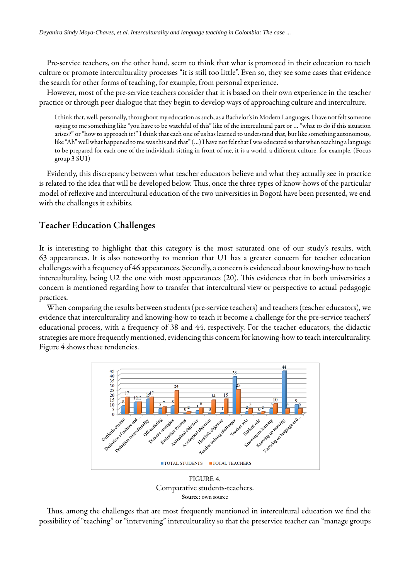Pre-service teachers, on the other hand, seem to think that what is promoted in their education to teach culture or promote interculturality processes "it is still too little". Even so, they see some cases that evidence the search for other forms of teaching, for example, from personal experience.

However, most of the pre-service teachers consider that it is based on their own experience in the teacher practice or through peer dialogue that they begin to develop ways of approaching culture and interculture.

I think that, well, personally, throughout my education as such, as a Bachelor's in Modern Languages, I have not felt someone saying to me something like "you have to be watchful of this" like of the intercultural part or … "what to do if this situation arises?" or "how to approach it?" I think that each one of us has learned to understand that, but like something autonomous, like "Ah" well what happened to me was this and that" (…) I have not felt that I was educated so that when teaching a language to be prepared for each one of the individuals sitting in front of me, it is a world, a different culture, for example. (Focus group 3 SU1)

Evidently, this discrepancy between what teacher educators believe and what they actually see in practice is related to the idea that will be developed below. Thus, once the three types of know-hows of the particular model of reflexive and intercultural education of the two universities in Bogotá have been presented, we end with the challenges it exhibits.

## Teacher Education Challenges

It is interesting to highlight that this category is the most saturated one of our study's results, with 63 appearances. It is also noteworthy to mention that U1 has a greater concern for teacher education challenges with a frequency of 46 appearances. Secondly, a concern is evidenced about knowing-how to teach interculturality, being U2 the one with most appearances (20). This evidences that in both universities a concern is mentioned regarding how to transfer that intercultural view or perspective to actual pedagogic practices.

<span id="page-12-0"></span>When comparing the results between students (pre-service teachers) and teachers (teacher educators), we evidence that interculturality and knowing-how to teach it become a challenge for the pre-service teachers' educational process, with a frequency of 38 and 44, respectively. For the teacher educators, the didactic strategies are more frequently mentioned, evidencing this concern for knowing-how to teach interculturality. [Figure](#page-12-0) 4 shows these tendencies.



Comparative students-teachers. Source: own source

Thus, among the challenges that are most frequently mentioned in intercultural education we find the possibility of "teaching" or "intervening" interculturality so that the preservice teacher can "manage groups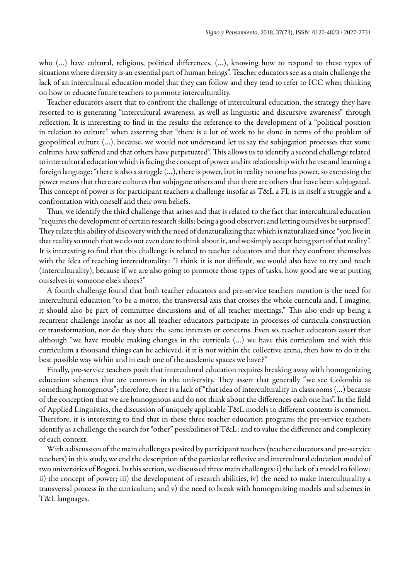who (…) have cultural, religious, political differences, (…), knowing how to respond to these types of situations where diversity is an essential part of human beings". Teacher educators see as a main challenge the lack of an intercultural education model that they can follow and they tend to refer to ICC when thinking on how to educate future teachers to promote interculturality.

Teacher educators assert that to confront the challenge of intercultural education, the strategy they have resorted to is generating "intercultural awareness, as well as linguistic and discursive awareness" through reflection. It is interesting to find in the results the reference to the development of a "political position in relation to culture" when asserting that "there is a lot of work to be done in terms of the problem of geopolitical culture (…), because, we would not understand let us say the subjugation processes that some cultures have suffered and that others have perpetuated". This allows us to identify a second challenge related to intercultural education which is facing the concept of power and its relationship with the use and learning a foreign language: "there is also a struggle (…), there is power, but in reality no one has power, so exercising the power means that there are cultures that subjugate others and that there are others that have been subjugated. This concept of power is for participant teachers a challenge insofar as T&L a FL is in itself a struggle and a confrontation with oneself and their own beliefs.

Thus, we identify the third challenge that arises and that is related to the fact that intercultural education "requires the development of certain research skills; being a good observer; and letting ourselves be surprised". They relate this ability of discovery with the need of denaturalizing that which is naturalized since "you live in that reality so much that we do not even dare to think about it, and we simply accept being part of that reality". It is interesting to find that this challenge is related to teacher educators and that they confront themselves with the idea of teaching interculturality: "I think it is not difficult, we would also have to try and teach (interculturality), because if we are also going to promote those types of tasks, how good are we at putting ourselves in someone else's shoes?"

A fourth challenge found that both teacher educators and pre-service teachers mention is the need for intercultural education "to be a motto, the transversal axis that crosses the whole curricula and, I imagine, it should also be part of committee discussions and of all teacher meetings." This also ends up being a recurrent challenge insofar as not all teacher educators participate in processes of curricula construction or transformation, nor do they share the same interests or concerns. Even so, teacher educators assert that although "we have trouble making changes in the curricula (…) we have this curriculum and with this curriculum a thousand things can be achieved, if it is not within the collective arena, then how to do it the best possible way within and in each one of the academic spaces we have?"

Finally, pre-service teachers posit that intercultural education requires breaking away with homogenizing education schemes that are common in the university. They assert that generally "we see Colombia as something homogenous"; therefore, there is a lack of "that idea of interculturality in classrooms (…) because of the conception that we are homogenous and do not think about the differences each one has". In the field of Applied Linguistics, the discussion of uniquely applicable T&L models to different contexts is common. Therefore, it is interesting to find that in these three teacher education programs the pre-service teachers identify as a challenge the search for "other" possibilities of T&L; and to value the difference and complexity of each context.

With a discussion of the main challenges posited by participant teachers (teacher educators and pre-service teachers) in this study, we end the description of the particular reflexive and intercultural education model of two universities of Bogotá. In this section, we discussed three main challenges: i) the lack of a model to follow; ii) the concept of power; iii) the development of research abilities, iv) the need to make interculturality a transversal process in the curriculum; and v) the need to break with homogenizing models and schemes in T&L languages.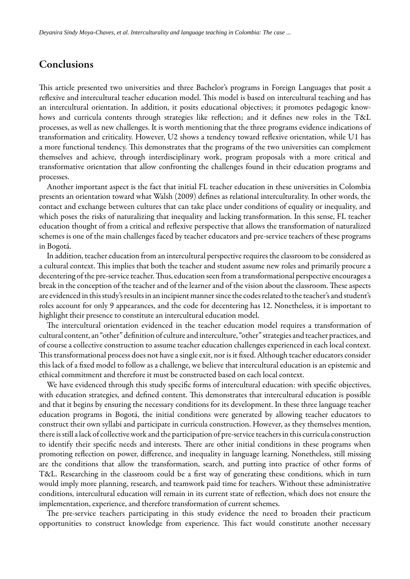# Conclusions

This article presented two universities and three Bachelor's programs in Foreign Languages that posit a reflexive and intercultural teacher education model. This model is based on intercultural teaching and has an intercultural orientation. In addition, it posits educational objectives; it promotes pedagogic knowhows and curricula contents through strategies like reflection; and it defines new roles in the T&L processes, as well as new challenges. It is worth mentioning that the three programs evidence indications of transformation and criticality. However, U2 shows a tendency toward reflexive orientation, while U1 has a more functional tendency. This demonstrates that the programs of the two universities can complement themselves and achieve, through interdisciplinary work, program proposals with a more critical and transformative orientation that allow confronting the challenges found in their education programs and processes.

Another important aspect is the fact that initial FL teacher education in these universities in Colombia presents an orientation toward what Walsh ([2009\)](#page-16-19) denes as relational interculturality. In other words, the contact and exchange between cultures that can take place under conditions of equality or inequality, and which poses the risks of naturalizing that inequality and lacking transformation. In this sense, FL teacher education thought of from a critical and reflexive perspective that allows the transformation of naturalized schemes is one of the main challenges faced by teacher educators and pre-service teachers of these programs in Bogotá.

In addition, teacher education from an intercultural perspective requires the classroom to be considered as a cultural context. This implies that both the teacher and student assume new roles and primarily procure a decentering of the pre-service teacher. Thus, education seen from a transformational perspective encourages a break in the conception of the teacher and of the learner and of the vision about the classroom. These aspects are evidenced in this study's results in an incipient manner since the codes related to the teacher's and student's roles account for only 9 appearances, and the code for decentering has 12. Nonetheless, it is important to highlight their presence to constitute an intercultural education model.

The intercultural orientation evidenced in the teacher education model requires a transformation of cultural content, an "other" definition of culture and interculture, "other" strategies and teacher practices, and of course a collective construction to assume teacher education challenges experienced in each local context. This transformational process does not have a single exit, nor is it fixed. Although teacher educators consider this lack of a xed model to follow as a challenge, we believe that intercultural education is an epistemic and ethical commitment and therefore it must be constructed based on each local context.

We have evidenced through this study specific forms of intercultural education: with specific objectives, with education strategies, and defined content. This demonstrates that intercultural education is possible and that it begins by ensuring the necessary conditions for its development. In these three language teacher education programs in Bogotá, the initial conditions were generated by allowing teacher educators to construct their own syllabi and participate in curricula construction. However, as they themselves mention, there is still a lack of collective work and the participation of pre-service teachers in this curricula construction to identify their specific needs and interests. There are other initial conditions in these programs when promoting reflection on power, difference, and inequality in language learning. Nonetheless, still missing are the conditions that allow the transformation, search, and putting into practice of other forms of T&L. Researching in the classroom could be a first way of generating these conditions, which in turn would imply more planning, research, and teamwork paid time for teachers. Without these administrative conditions, intercultural education will remain in its current state of reflection, which does not ensure the implementation, experience, and therefore transformation of current schemes.

The pre-service teachers participating in this study evidence the need to broaden their practicum opportunities to construct knowledge from experience. This fact would constitute another necessary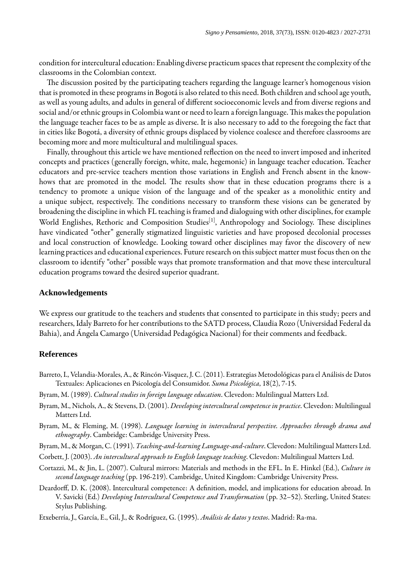condition for intercultural education: Enabling diverse practicum spaces that represent the complexity of the classrooms in the Colombian context.

The discussion posited by the participating teachers regarding the language learner's homogenous vision that is promoted in these programs in Bogotá is also related to this need. Both children and school age youth, as well as young adults, and adults in general of different socioeconomic levels and from diverse regions and social and/or ethnic groups in Colombia want or need to learn a foreign language. This makes the population the language teacher faces to be as ample as diverse. It is also necessary to add to the foregoing the fact that in cities like Bogotá, a diversity of ethnic groups displaced by violence coalesce and therefore classrooms are becoming more and more multicultural and multilingual spaces.

Finally, throughout this article we have mentioned reflection on the need to invert imposed and inherited concepts and practices (generally foreign, white, male, hegemonic) in language teacher education. Teacher educators and pre-service teachers mention those variations in English and French absent in the knowhows that are promoted in the model. The results show that in these education programs there is a tendency to promote a unique vision of the language and of the speaker as a monolithic entity and a unique subject, respectively. The conditions necessary to transform these visions can be generated by broadening the discipline in which FL teaching is framed and dialoguing with other disciplines, for example World Englishes, Rethoric and Composition Studies<sup>[[1\]](#page-16-20)</sup>, Anthropology and Sociology. These disciplines have vindicated "other" generally stigmatized linguistic varieties and have proposed decolonial processes and local construction of knowledge. Looking toward other disciplines may favor the discovery of new learning practices and educational experiences. Future research on this subject matter must focus then on the classroom to identify "other" possible ways that promote transformation and that move these intercultural education programs toward the desired superior quadrant.

#### **Acknowledgements**

We express our gratitude to the teachers and students that consented to participate in this study; peers and researchers, Idaly Barreto for her contributions to the SATD process, Claudia Rozo (Universidad Federal da Bahia), and Ángela Camargo (Universidad Pedagógica Nacional) for their comments and feedback.

#### **References**

- <span id="page-15-7"></span>Barreto, I., Velandia-Morales, A., & Rincón-Vásquez, J. C. (2011). Estrategias Metodológicas para el Análisis de Datos Textuales: Aplicaciones en Psicología del Consumidor. *Suma Psicológica*, 18(2), 7-15.
- <span id="page-15-0"></span>Byram, M. (1989). *Cultural studies in foreign language education*. Clevedon: Multilingual Matters Ltd.
- <span id="page-15-3"></span>Byram, M., Nichols, A., & Stevens, D. (2001). *Developing intercultural competence in practice*. Clevedon: Multilingual Matters Ltd.
- <span id="page-15-2"></span>Byram, M., & Fleming, M. (1998). *Language learning in intercultural perspective. Approaches through drama and ethnography*. Cambridge: Cambridge University Press.
- <span id="page-15-1"></span>Byram, M., & Morgan, C. (1991). *Teaching-and-learning Language-and-culture*. Clevedon: Multilingual Matters Ltd.
- <span id="page-15-4"></span>Corbett, J. (2003). *An intercultural approach to English language teaching*. Clevedon: Multilingual Matters Ltd.
- <span id="page-15-6"></span>Cortazzi, M., & Jin, L. (2007). Cultural mirrors: Materials and methods in the EFL. In E. Hinkel (Ed.), *Culture in second language teaching* (pp. 196-219). Cambridge, United Kingdom: Cambridge University Press.
- <span id="page-15-5"></span>Deardorff, D. K. (2008). Intercultural competence: A definition, model, and implications for education abroad. In V. Savicki (Ed.) *Developing Intercultural Competence and Transformation* (pp. 32–52). Sterling, United States: Stylus Publishing.
- <span id="page-15-8"></span>Etxeberría, J., García, E., Gil, J., & Rodríguez, G. (1995). *Análisis de datos y textos*. Madrid: Ra-ma.